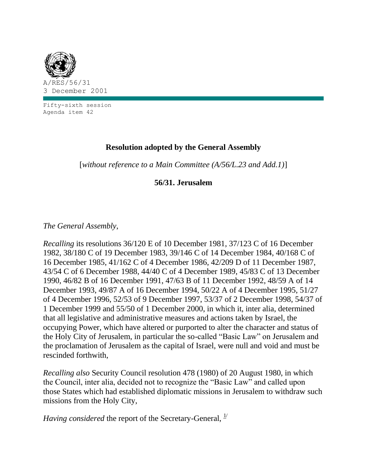

Fifty-sixth session Agenda item 42

## **Resolution adopted by the General Assembly**

[*without reference to a Main Committee (A/56/L.23 and Add.1)*]

## **56/31. Jerusalem**

*The General Assembly*,

*Recalling* its resolutions 36/120 E of 10 December 1981, 37/123 C of 16 December 1982, 38/180 C of 19 December 1983, 39/146 C of 14 December 1984, 40/168 C of 16 December 1985, 41/162 C of 4 December 1986, 42/209 D of 11 December 1987, 43/54 C of 6 December 1988, 44/40 C of 4 December 1989, 45/83 C of 13 December 1990, 46/82 B of 16 December 1991, 47/63 B of 11 December 1992, 48/59 A of 14 December 1993, 49/87 A of 16 December 1994, 50/22 A of 4 December 1995, 51/27 of 4 December 1996, 52/53 of 9 December 1997, 53/37 of 2 December 1998, 54/37 of 1 December 1999 and 55/50 of 1 December 2000, in which it, inter alia, determined that all legislative and administrative measures and actions taken by Israel, the occupying Power, which have altered or purported to alter the character and status of the Holy City of Jerusalem, in particular the so-called "Basic Law" on Jerusalem and the proclamation of Jerusalem as the capital of Israel, were null and void and must be rescinded forthwith,

*Recalling also* Security Council resolution 478 (1980) of 20 August 1980, in which the Council, inter alia, decided not to recognize the "Basic Law" and called upon those States which had established diplomatic missions in Jerusalem to withdraw such missions from the Holy City,

*Having considered* the report of the Secretary-General,  $\frac{1}{2}$